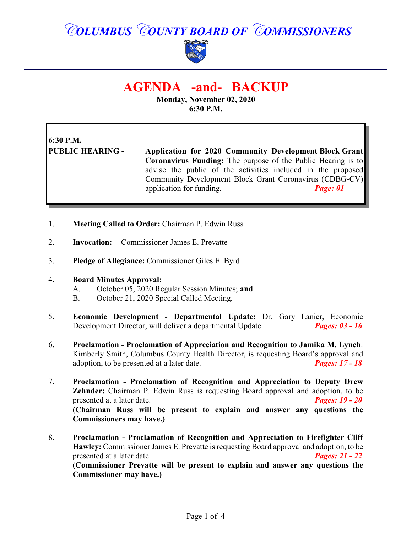# *COLUMBUS COUNTY BOARD OF COMMISSIONERS*



## **AGENDA -and- BACKUP**

**Monday, November 02, 2020 6:30 P.M.**

# **6:30 P.M.**

**PUBLIC HEARING - Application for 2020 Community Development Block Grant Coronavirus Funding:** The purpose of the Public Hearing is to advise the public of the activities included in the proposed Community Development Block Grant Coronavirus (CDBG-CV) application for funding. *Page: 01*

- 1. **Meeting Called to Order:** Chairman P. Edwin Russ
- 2. **Invocation:** Commissioner James E. Prevatte
- 3. **Pledge of Allegiance:** Commissioner Giles E. Byrd

#### 4. **Board Minutes Approval:**

- A. October 05, 2020 Regular Session Minutes; **and**
- B. October 21, 2020 Special Called Meeting.
- 5. **Economic Development Departmental Update:** Dr. Gary Lanier, Economic Development Director, will deliver a departmental Update. *Pages: 03 - 16*
- 6. **Proclamation - Proclamation of Appreciation and Recognition to Jamika M. Lynch**: Kimberly Smith, Columbus County Health Director, is requesting Board's approval and adoption, to be presented at a later date. *Pages: 17 - 18*
- 7**. Proclamation Proclamation of Recognition and Appreciation to Deputy Drew Zehnder:** Chairman P. Edwin Russ is requesting Board approval and adoption, to be presented at a later date. *Pages: 19 - 20* **(Chairman Russ will be present to explain and answer any questions the Commissioners may have.)**
- 8. **Proclamation Proclamation of Recognition and Appreciation to Firefighter Cliff Hawley:** Commissioner James E. Prevatte is requesting Board approval and adoption, to be presented at a later date. *Pages: 21 - 22* **(Commissioner Prevatte will be present to explain and answer any questions the Commissioner may have.)**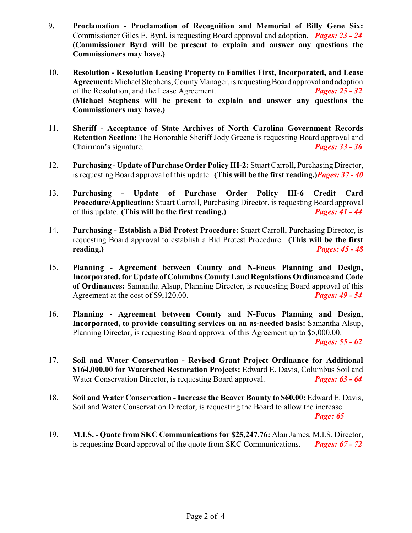- 9**. Proclamation Proclamation of Recognition and Memorial of Billy Gene Six:** Commissioner Giles E. Byrd, is requesting Board approval and adoption. *Pages: 23 - 24* **(Commissioner Byrd will be present to explain and answer any questions the Commissioners may have.)**
- 10. **Resolution Resolution Leasing Property to Families First, Incorporated, and Lease Agreement:**Michael Stephens, CountyManager, is requestingBoard approval and adoption of the Resolution, and the Lease Agreement. *Pages: 25 - 32* **(Michael Stephens will be present to explain and answer any questions the Commissioners may have.)**
- 11. **Sheriff Acceptance of State Archives of North Carolina Government Records Retention Section:** The Honorable Sheriff Jody Greene is requesting Board approval and Chairman's signature. *Pages: 33 - 36*
- 12. **Purchasing Update of Purchase Order Policy III-2:** Stuart Carroll, Purchasing Director, is requesting Board approval of this update. **(This will be the first reading.)***Pages: 37 - 40*
- 13. **Purchasing Update of Purchase Order Policy III-6 Credit Card Procedure/Application:** Stuart Carroll, Purchasing Director, is requesting Board approval of this update. **(This will be the first reading.)** *Pages: 41 - 44*
- 14. **Purchasing Establish a Bid Protest Procedure:** Stuart Carroll, Purchasing Director, is requesting Board approval to establish a Bid Protest Procedure. **(This will be the first reading.)** *Pages: 45 - 48*
- 15. **Planning Agreement between County and N-Focus Planning and Design, Incorporated, for Update of Columbus County Land Regulations Ordinance and Code of Ordinances:** Samantha Alsup, Planning Director, is requesting Board approval of this Agreement at the cost of \$9,120.00. *Pages: 49 - 54*
- 16. **Planning - Agreement between County and N-Focus Planning and Design, Incorporated, to provide consulting services on an as-needed basis:** Samantha Alsup, Planning Director, is requesting Board approval of this Agreement up to \$5,000.00.

*Pages: 55 - 62*

- 17. **Soil and Water Conservation - Revised Grant Project Ordinance for Additional \$164,000.00 for Watershed Restoration Projects:** Edward E. Davis, Columbus Soil and Water Conservation Director, is requesting Board approval. *Pages: 63 - 64*
- 18. **Soil and Water Conservation Increase the Beaver Bounty to \$60.00:** Edward E. Davis, Soil and Water Conservation Director, is requesting the Board to allow the increase.

*Page: 65* 

19. **M.I.S. - Quote from SKC Communications for \$25,247.76:** Alan James, M.I.S. Director, is requesting Board approval of the quote from SKC Communications. *Pages: 67 - 72*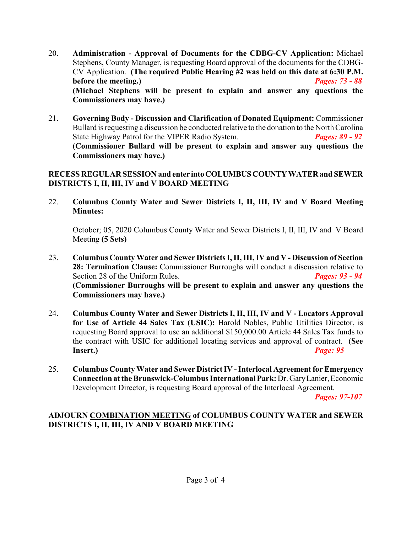- 20. **Administration Approval of Documents for the CDBG-CV Application:** Michael Stephens, County Manager, is requesting Board approval of the documents for the CDBG-CV Application. **(The required Public Hearing #2 was held on this date at 6:30 P.M. before the meeting.)** *Pages: 73 - 88* **(Michael Stephens will be present to explain and answer any questions the Commissioners may have.)**
- 21. **Governing Body Discussion and Clarification of Donated Equipment:** Commissioner Bullard is requesting a discussion be conducted relative to the donation to the North Carolina State Highway Patrol for the VIPER Radio System. *Pages: 89 - 92* **(Commissioner Bullard will be present to explain and answer any questions the Commissioners may have.)**

#### **RECESS REGULAR SESSION and enter intoCOLUMBUSCOUNTYWATER and SEWER DISTRICTS I, II, III, IV and V BOARD MEETING**

22. **Columbus County Water and Sewer Districts I, II, III, IV and V Board Meeting Minutes:**

October; 05, 2020 Columbus County Water and Sewer Districts I, II, III, IV and V Board Meeting **(5 Sets)**

- 23. **Columbus County Water and Sewer Districts I, II, III, IV and V Discussion of Section 28: Termination Clause:** Commissioner Burroughs will conduct a discussion relative to Section 28 of the Uniform Rules. *Pages: 93 - 94* **(Commissioner Burroughs will be present to explain and answer any questions the Commissioners may have.)**
- 24. **Columbus County Water and Sewer Districts I, II, III, IV and V Locators Approval for Use of Article 44 Sales Tax (USIC):** Harold Nobles, Public Utilities Director, is requesting Board approval to use an additional \$150,000.00 Article 44 Sales Tax funds to the contract with USIC for additional locating services and approval of contract. (**See Insert.)** *Page: 95*
- 25. **Columbus County Water and Sewer District IV Interlocal Agreement for Emergency Connection at the Brunswick-Columbus International Park:** Dr. GaryLanier, Economic Development Director, is requesting Board approval of the Interlocal Agreement.

*Pages: 97-107*

#### **ADJOURN COMBINATION MEETING of COLUMBUS COUNTY WATER and SEWER DISTRICTS I, II, III, IV AND V BOARD MEETING**